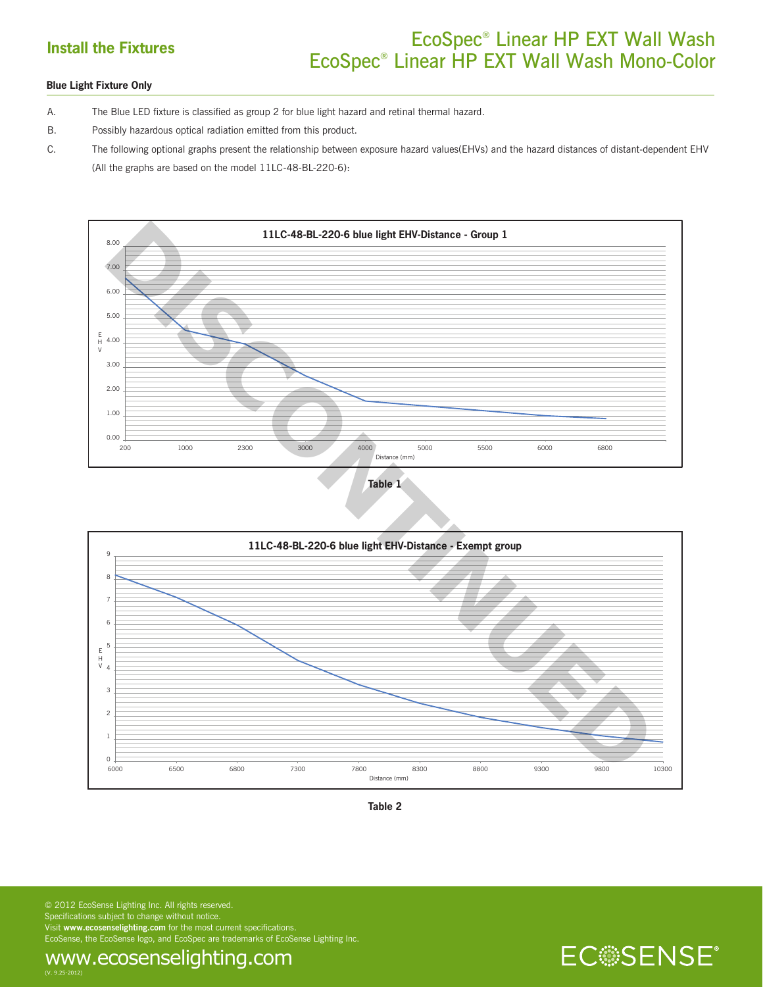## **Install the Fixtures** EcoSpec<sup>®</sup> Linear HP EXT Wall Wash EcoSpec® Linear HP EXT Wall Wash Mono-Color

## **Blue Light Fixture Only**

A. The Blue LED fixture is classified as group 2 for blue light hazard and retinal thermal hazard.

B. Possibly hazardous optical radiation emitted from this product.

C. The following optional graphs present the relationship between exposure hazard values(EHVs) and the hazard distances of distant-dependent EHV (All the graphs are based on the model 11LC-48-BL-220-6):









**ECSSENSE**®

© 2012 EcoSense Lighting Inc. All rights reserved. Specifications subject to change without notice. Visit **www.ecosenselighting.com** for the most current specifications. EcoSense, the EcoSense logo, and EcoSpec are trademarks of EcoSense Lighting Inc.